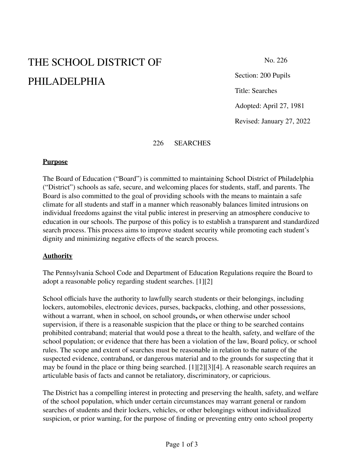# THE SCHOOL DISTRICT OF PHILADELPHIA

No. 226

Section: 200 Pupils Title: Searches

Adopted: April 27, 1981

Revised: January 27, 2022

#### 226 SEARCHES

#### **Purpose**

The Board of Education ("Board") is committed to maintaining School District of Philadelphia ("District") schools as safe, secure, and welcoming places for students, staff, and parents. The Board is also committed to the goal of providing schools with the means to maintain a safe climate for all students and staff in a manner which reasonably balances limited intrusions on individual freedoms against the vital public interest in preserving an atmosphere conducive to education in our schools. The purpose of this policy is to establish a transparent and standardized search process. This process aims to improve student security while promoting each student's dignity and minimizing negative effects of the search process.

## **Authority**

The Pennsylvania School Code and Department of Education Regulations require the Board to adopt a reasonable policy regarding student searches. [1][2]

School officials have the authority to lawfully search students or their belongings, including lockers, automobiles, electronic devices, purses, backpacks, clothing, and other possessions, without a warrant, when in school, on school grounds**,** or when otherwise under school supervision, if there is a reasonable suspicion that the place or thing to be searched contains prohibited contraband; material that would pose a threat to the health, safety, and welfare of the school population; or evidence that there has been a violation of the law, Board policy, or school rules. The scope and extent of searches must be reasonable in relation to the nature of the suspected evidence, contraband, or dangerous material and to the grounds for suspecting that it may be found in the place or thing being searched. [1][2][3][4]. A reasonable search requires an articulable basis of facts and cannot be retaliatory, discriminatory, or capricious.

The District has a compelling interest in protecting and preserving the health, safety, and welfare of the school population, which under certain circumstances may warrant general or random searches of students and their lockers, vehicles, or other belongings without individualized suspicion, or prior warning, for the purpose of finding or preventing entry onto school property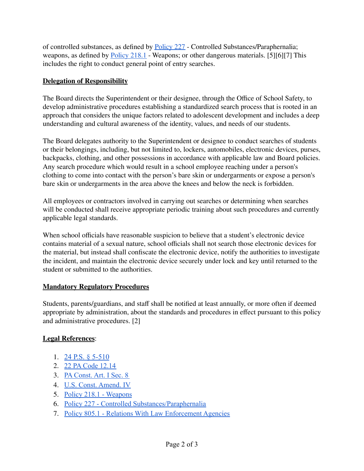of controlled substances, as defined by [Policy](https://www.philasd.org/schoolboard/policies/) 227 - Controlled Substances/Paraphernalia; weapons, as defined by [Policy](https://www.philasd.org/schoolboard/policies/) 218.1 - Weapons; or other dangerous materials. [5][6][7] This includes the right to conduct general point of entry searches.

# **Delegation of Responsibility**

The Board directs the Superintendent or their designee, through the Office of School Safety, to develop administrative procedures establishing a standardized search process that is rooted in an approach that considers the unique factors related to adolescent development and includes a deep understanding and cultural awareness of the identity, values, and needs of our students.

The Board delegates authority to the Superintendent or designee to conduct searches of students or their belongings, including, but not limited to, lockers, automobiles, electronic devices, purses, backpacks, clothing, and other possessions in accordance with applicable law and Board policies. Any search procedure which would result in a school employee reaching under a person's clothing to come into contact with the person's bare skin or undergarments or expose a person's bare skin or undergarments in the area above the knees and below the neck is forbidden.

All employees or contractors involved in carrying out searches or determining when searches will be conducted shall receive appropriate periodic training about such procedures and currently applicable legal standards.

When school officials have reasonable suspicion to believe that a student's electronic device contains material of a sexual nature, school officials shall not search those electronic devices for the material, but instead shall confiscate the electronic device, notify the authorities to investigate the incident, and maintain the electronic device securely under lock and key until returned to the student or submitted to the authorities.

## **Mandatory Regulatory Procedures**

Students, parents/guardians, and staff shall be notified at least annually, or more often if deemed appropriate by administration, about the standards and procedures in effect pursuant to this policy and administrative procedures. [2]

## **Legal References**:

- 1. 24 P.S. § [5-510](https://www.legis.state.pa.us/cfdocs/legis/LI/uconsCheck.cfm?txtType=HTM&yr=1949&sessInd=0&smthLwInd=0&act=14&chpt=5&sctn=10&subsctn=0)
- 2. [22 PA Code 12.14](https://www.pacodeandbulletin.gov/Display/pacode?file=/secure/pacode/data/022/chapter12/s12.14.html&d=reduce)
- 3. [PA Const. Art. I Sec. 8](https://www.legis.state.pa.us/cfdocs/legis/LI/consCheck.cfm?txtType=HTM&ttl=00&div=0&chpt=1&sctn=8&subsctn=0)
- 4. [U.S. Const. Amend. IV](https://www.law.cornell.edu/constitution/fourth_amendment)
- 5. [Policy 218.1 Weapons](https://www.philasd.org/schoolboard/wp-content/uploads/sites/884/2018/01/Policy-218.1.pdf)
- 6. [Policy 227 Controlled Substances/Paraphernalia](https://www.philasd.org/schoolboard/wp-content/uploads/sites/884/2017/06/227.pdf)
- 7. [Policy 805.1 Relations With Law Enforcement Agencies](https://www.philasd.org/schoolboard/wp-content/uploads/sites/884/2017/07/805.1-Relations-with-Law-Enforcement-Agencies.pdf)